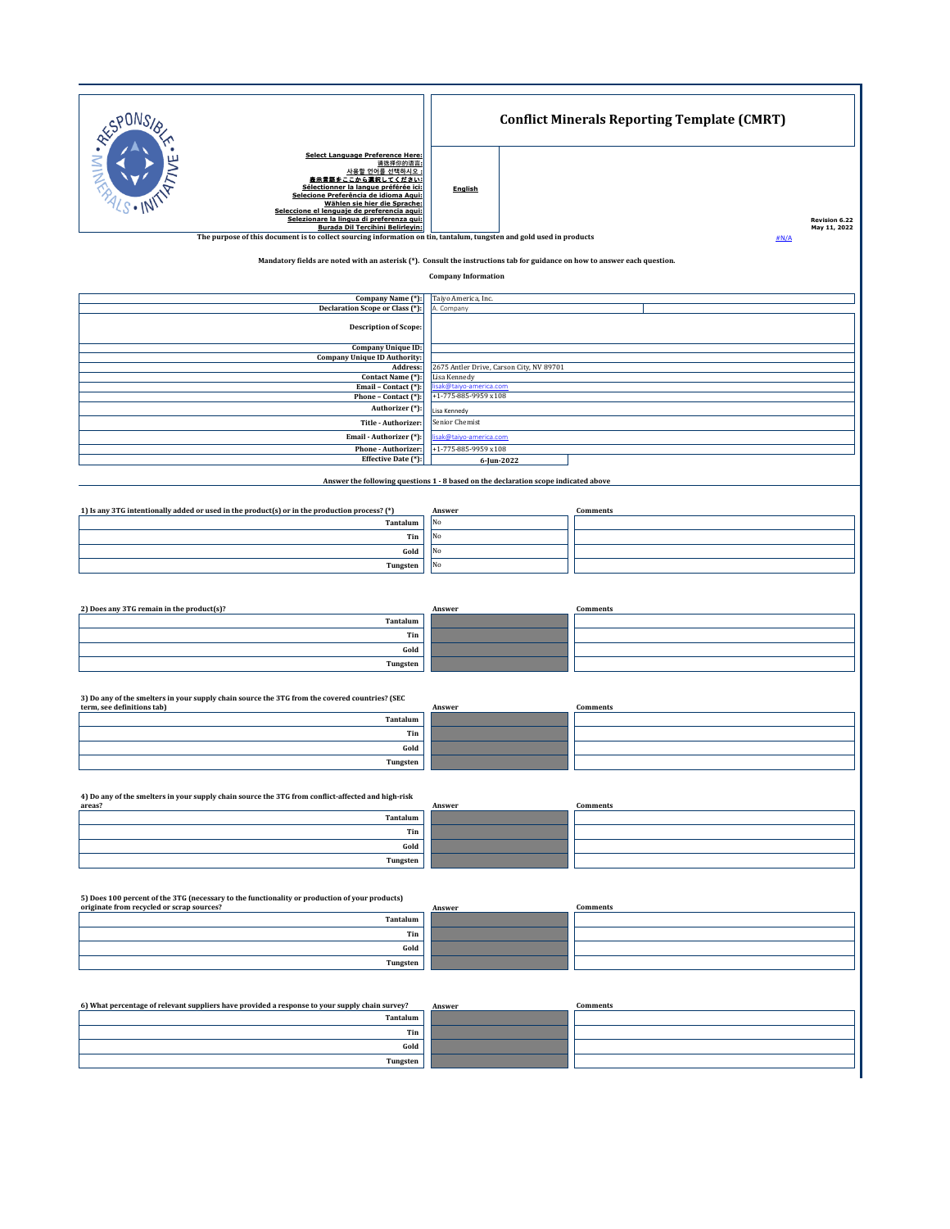| RESPONS                                                                                                                                                                                                                                                                                                                                           |                                               | <b>Conflict Minerals Reporting Template (CMRT)</b>                                  |                               |  |  |
|---------------------------------------------------------------------------------------------------------------------------------------------------------------------------------------------------------------------------------------------------------------------------------------------------------------------------------------------------|-----------------------------------------------|-------------------------------------------------------------------------------------|-------------------------------|--|--|
| <b>Select Language Preference Here:</b><br>请选择你的语言:<br>사용할 언어를 선택하시오<br>表示言語をここから選択してください:<br>Sélectionner la langue préférée ici:<br>Selecione Preferência de idioma Aqui:<br>Wählen sie hier die Sprache:<br>Seleccione el lenguaje de preferencia aqui:<br>Selezionare la lingua di preferenza qui:<br><b>Burada Dil Tercihini Belirleyin:</b> | English                                       |                                                                                     | Revision 6.22<br>May 11, 2022 |  |  |
| The purpose of this document is to collect sourcing information on tin, tantalum, tungsten and gold used in products<br>#N/A<br>Mandatory fields are noted with an asterisk (*). Consult the instructions tab for guidance on how to answer each question.                                                                                        |                                               |                                                                                     |                               |  |  |
| <b>Company Information</b>                                                                                                                                                                                                                                                                                                                        |                                               |                                                                                     |                               |  |  |
| Company Name (*):<br>Declaration Scope or Class (*):                                                                                                                                                                                                                                                                                              | Taiyo America, Inc.<br>A. Company             |                                                                                     |                               |  |  |
| <b>Description of Scope:</b>                                                                                                                                                                                                                                                                                                                      |                                               |                                                                                     |                               |  |  |
| Company Unique ID:<br><b>Company Unique ID Authority:</b>                                                                                                                                                                                                                                                                                         | Address:                                      | 2675 Antler Drive, Carson City, NV 89701                                            |                               |  |  |
| Contact Name (*):<br>Email - Contact (*):                                                                                                                                                                                                                                                                                                         |                                               | Lisa Kennedy<br>sak@taiyo-america.com                                               |                               |  |  |
| Phone - Contact (*):<br>Authorizer (*):                                                                                                                                                                                                                                                                                                           | +1-775-885-9959 x108                          |                                                                                     |                               |  |  |
| Title - Authorizer:                                                                                                                                                                                                                                                                                                                               | Lisa Kennedy<br>Senior Chemist                |                                                                                     |                               |  |  |
| Email - Authorizer (*):<br>Phone - Authorizer:                                                                                                                                                                                                                                                                                                    | sak@taiyo-america.com<br>+1-775-885-9959 x108 |                                                                                     |                               |  |  |
| Effective Date (*):                                                                                                                                                                                                                                                                                                                               |                                               | 6-Jun-2022                                                                          |                               |  |  |
|                                                                                                                                                                                                                                                                                                                                                   |                                               | Answer the following questions 1 - 8 based on the declaration scope indicated above |                               |  |  |
| 1) Is any 3TG intentionally added or used in the product(s) or in the production process? (*)                                                                                                                                                                                                                                                     | Answer                                        |                                                                                     | Comments                      |  |  |
| Tantalum                                                                                                                                                                                                                                                                                                                                          | No                                            |                                                                                     |                               |  |  |
|                                                                                                                                                                                                                                                                                                                                                   | No<br>Tin<br>$_{\rm No}$<br>Gold              |                                                                                     |                               |  |  |
| Tungsten                                                                                                                                                                                                                                                                                                                                          | No                                            |                                                                                     |                               |  |  |
|                                                                                                                                                                                                                                                                                                                                                   |                                               |                                                                                     |                               |  |  |
| 2) Does any 3TG remain in the product(s)?                                                                                                                                                                                                                                                                                                         | Answer                                        |                                                                                     | Comments                      |  |  |
| Tantalum                                                                                                                                                                                                                                                                                                                                          | Tin                                           |                                                                                     |                               |  |  |
|                                                                                                                                                                                                                                                                                                                                                   | Gold                                          |                                                                                     |                               |  |  |
| Tungsten                                                                                                                                                                                                                                                                                                                                          |                                               |                                                                                     |                               |  |  |
| 3) Do any of the smelters in your supply chain source the 3TG from the covered countries? (SEC                                                                                                                                                                                                                                                    |                                               |                                                                                     |                               |  |  |
| term, see definitions tab)<br>Tantalum                                                                                                                                                                                                                                                                                                            | Answer                                        |                                                                                     | Comments                      |  |  |
|                                                                                                                                                                                                                                                                                                                                                   | Tin                                           |                                                                                     |                               |  |  |
|                                                                                                                                                                                                                                                                                                                                                   | Gold                                          |                                                                                     |                               |  |  |
| Tungsten                                                                                                                                                                                                                                                                                                                                          |                                               |                                                                                     |                               |  |  |
| 4) Do any of the smelters in your supply chain source the 3TG from conflict-affected and high-risk                                                                                                                                                                                                                                                |                                               |                                                                                     |                               |  |  |
| areas?<br>Tantalum                                                                                                                                                                                                                                                                                                                                | Answer                                        |                                                                                     | Comments                      |  |  |
|                                                                                                                                                                                                                                                                                                                                                   | Tin                                           |                                                                                     |                               |  |  |
| Tungsten                                                                                                                                                                                                                                                                                                                                          | Gold                                          |                                                                                     |                               |  |  |
|                                                                                                                                                                                                                                                                                                                                                   |                                               |                                                                                     |                               |  |  |
| 5) Does 100 percent of the 3TG (necessary to the functionality or production of your products)<br>originate from recycled or scrap sources?                                                                                                                                                                                                       | Answer                                        |                                                                                     | Comments                      |  |  |
| Tantalum                                                                                                                                                                                                                                                                                                                                          |                                               |                                                                                     |                               |  |  |
|                                                                                                                                                                                                                                                                                                                                                   | Tin<br>Gold                                   |                                                                                     |                               |  |  |
| Tungsten                                                                                                                                                                                                                                                                                                                                          |                                               |                                                                                     |                               |  |  |
|                                                                                                                                                                                                                                                                                                                                                   |                                               |                                                                                     |                               |  |  |
| 6) What percentage of relevant suppliers have provided a response to your supply chain survey?                                                                                                                                                                                                                                                    | Answer                                        |                                                                                     | Comments                      |  |  |
| Tantalum                                                                                                                                                                                                                                                                                                                                          |                                               |                                                                                     |                               |  |  |
|                                                                                                                                                                                                                                                                                                                                                   | Tin<br>Gold                                   |                                                                                     |                               |  |  |
| Tungsten                                                                                                                                                                                                                                                                                                                                          |                                               |                                                                                     |                               |  |  |